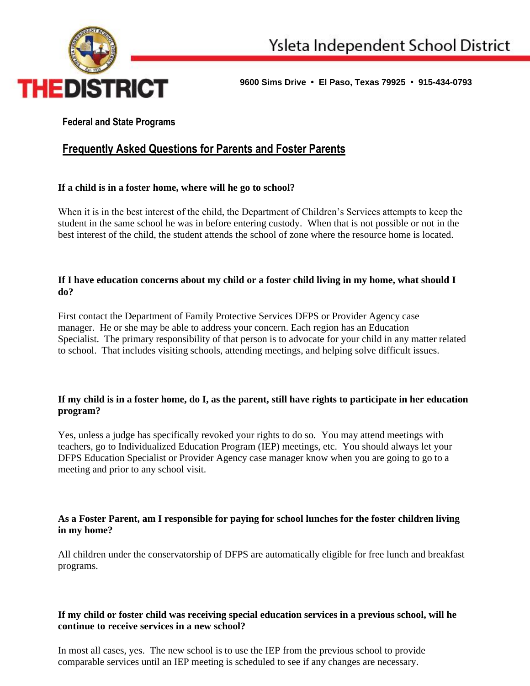

**9600 Sims Drive • El Paso, Texas 79925 • 915-434-0793** 

# **Federal and State Programs**

# **Frequently Asked Questions for Parents and Foster Parents**

# **If a child is in a foster home, where will he go to school?**

When it is in the best interest of the child, the Department of Children's Services attempts to keep the student in the same school he was in before entering custody. When that is not possible or not in the best interest of the child, the student attends the school of zone where the resource home is located.

### **If I have education concerns about my child or a foster child living in my home, what should I do?**

First contact the Department of Family Protective Services DFPS or Provider Agency case manager. He or she may be able to address your concern. Each region has an Education Specialist. The primary responsibility of that person is to advocate for your child in any matter related to school. That includes visiting schools, attending meetings, and helping solve difficult issues.

#### **If my child is in a foster home, do I, as the parent, still have rights to participate in her education program?**

Yes, unless a judge has specifically revoked your rights to do so. You may attend meetings with teachers, go to Individualized Education Program (IEP) meetings, etc. You should always let your DFPS Education Specialist or Provider Agency case manager know when you are going to go to a meeting and prior to any school visit.

# **As a Foster Parent, am I responsible for paying for school lunches for the foster children living in my home?**

All children under the conservatorship of DFPS are automatically eligible for free lunch and breakfast programs.

# **If my child or foster child was receiving special education services in a previous school, will he continue to receive services in a new school?**

In most all cases, yes. The new school is to use the IEP from the previous school to provide comparable services until an IEP meeting is scheduled to see if any changes are necessary.